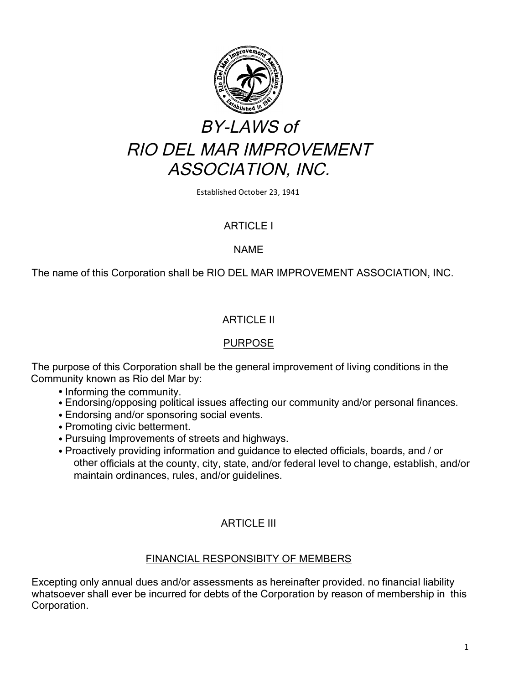

Established October 23, 1941

# ARTICLE I

### NAME

The name of this Corporation shall be RIO DEL MAR IMPROVEMENT ASSOCIATION, INC.

# ARTICLE II

# PURPOSE

The purpose of this Corporation shall be the general improvement of living conditions in the Community known as Rio del Mar by:

- Informing the community.
- Endorsing/opposing political issues affecting our community and/or personal finances.
- Endorsing and/or sponsoring social events.
- Promoting civic betterment.
- Pursuing Improvements of streets and highways.
- Proactively providing information and guidance to elected officials, boards, and / or other officials at the county, city, state, and/or federal level to change, establish, and/or maintain ordinances, rules, and/or guidelines.

# ARTICLE III

# FINANCIAL RESPONSIBITY OF MEMBERS

Excepting only annual dues and/or assessments as hereinafter provided. no financial liability whatsoever shall ever be incurred for debts of the Corporation by reason of membership in this Corporation.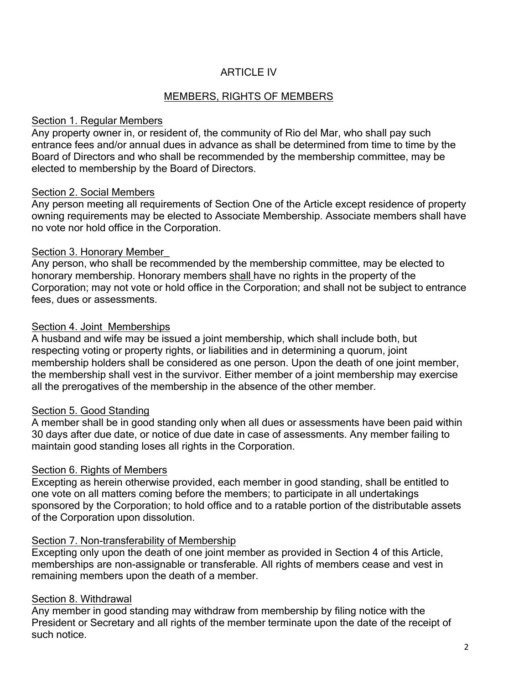# ARTICLE IV

# MEMBERS, RIGHTS OF MEMBERS

### Section 1. Regular Members

Any property owner in, or resident of, the community of Rio del Mar, who shall pay such entrance fees and/or annual dues in advance as shall be determined from time to time by the Board of Directors and who shall be recommended by the membership committee, may be elected to membership by the Board of Directors.

### Section 2. Social Members

Any person meeting all requirements of Section One of the Article except residence of property owning requirements may be elected to Associate Membership. Associate members shall have no vote nor hold office in the Corporation.

# Section 3. Honorary Member\_

Any person, who shall be recommended by the membership committee, may be elected to honorary membership. Honorary members shall have no rights in the property of the Corporation; may not vote or hold office in the Corporation; and shall not be subject to entrance fees, dues or assessments.

# Section 4. Joint Memberships

A husband and wife may be issued a joint membership, which shall include both, but respecting voting or property rights, or liabilities and in determining a quorum, joint membership holders shall be considered as one person. Upon the death of one joint member, the membership shall vest in the survivor. Either member of a joint membership may exercise all the prerogatives of the membership in the absence of the other member.

# Section 5. Good Standing

A member shall be in good standing only when all dues or assessments have been paid within 30 days after due date, or notice of due date in case of assessments. Any member failing to maintain good standing loses all rights in the Corporation.

# Section 6. Rights of Members

Excepting as herein otherwise provided, each member in good standing, shall be entitled to one vote on all matters coming before the members; to participate in all undertakings sponsored by the Corporation; to hold office and to a ratable portion of the distributable assets of the Corporation upon dissolution.

#### Section 7. Non-transferability of Membership

Excepting only upon the death of one joint member as provided in Section 4 of this Article, memberships are non-assignable or transferable. All rights of members cease and vest in remaining members upon the death of a member.

# Section 8. Withdrawal

Any member in good standing may withdraw from membership by filing notice with the President or Secretary and all rights of the member terminate upon the date of the receipt of such notice.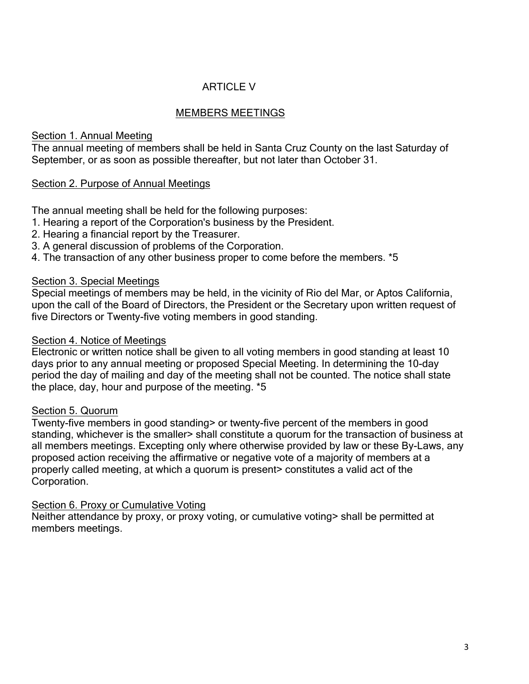# ARTICLE V

# MEMBERS MEETINGS

# Section 1. Annual Meeting

The annual meeting of members shall be held in Santa Cruz County on the last Saturday of September, or as soon as possible thereafter, but not later than October 31.

# Section 2. Purpose of Annual Meetings

The annual meeting shall be held for the following purposes:

- 1. Hearing a report of the Corporation's business by the President.
- 2. Hearing a financial report by the Treasurer.
- 3. A general discussion of problems of the Corporation.
- 4. The transaction of any other business proper to come before the members. \*5

# Section 3. Special Meetings

Special meetings of members may be held, in the vicinity of Rio del Mar, or Aptos California, upon the call of the Board of Directors, the President or the Secretary upon written request of five Directors or Twenty-five voting members in good standing.

### Section 4. Notice of Meetings

Electronic or written notice shall be given to all voting members in good standing at least 10 days prior to any annual meeting or proposed Special Meeting. In determining the 10-day period the day of mailing and day of the meeting shall not be counted. The notice shall state the place, day, hour and purpose of the meeting. \*5

# Section 5. Quorum

Twenty-five members in good standing> or twenty-five percent of the members in good standing, whichever is the smaller> shall constitute a quorum for the transaction of business at all members meetings. Excepting only where otherwise provided by law or these By-Laws, any proposed action receiving the affirmative or negative vote of a majority of members at a properly called meeting, at which a quorum is present> constitutes a valid act of the Corporation.

# Section 6. Proxy or Cumulative Voting

Neither attendance by proxy, or proxy voting, or cumulative voting> shall be permitted at members meetings.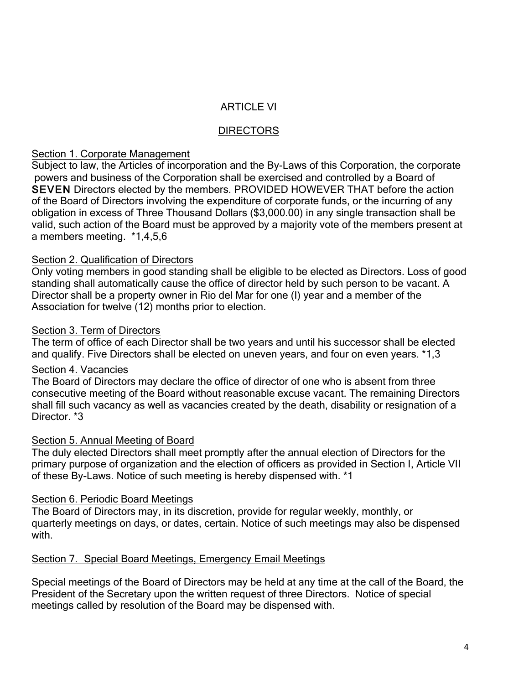# ARTICLE VI

### **DIRECTORS**

#### Section 1. Corporate Management

Subject to law, the Articles of incorporation and the By-Laws of this Corporation, the corporate powers and business of the Corporation shall be exercised and controlled by a Board of SEVEN Directors elected by the members. PROVIDED HOWEVER THAT before the action of the Board of Directors involving the expenditure of corporate funds, or the incurring of any obligation in excess of Three Thousand Dollars (\$3,000.00) in any single transaction shall be valid, such action of the Board must be approved by a majority vote of the members present at a members meeting. \*1,4,5,6

### Section 2. Qualification of Directors

Only voting members in good standing shall be eligible to be elected as Directors. Loss of good standing shall automatically cause the office of director held by such person to be vacant. A Director shall be a property owner in Rio del Mar for one (I) year and a member of the Association for twelve (12) months prior to election.

### Section 3. Term of Directors

The term of office of each Director shall be two years and until his successor shall be elected and qualify. Five Directors shall be elected on uneven years, and four on even years. \*1,3

#### Section 4. Vacancies

The Board of Directors may declare the office of director of one who is absent from three consecutive meeting of the Board without reasonable excuse vacant. The remaining Directors shall fill such vacancy as well as vacancies created by the death, disability or resignation of a Director. \*3

#### Section 5. Annual Meeting of Board

The duly elected Directors shall meet promptly after the annual election of Directors for the primary purpose of organization and the election of officers as provided in Section I, Article VII of these By-Laws. Notice of such meeting is hereby dispensed with. \*1

# Section 6. Periodic Board Meetings

The Board of Directors may, in its discretion, provide for regular weekly, monthly, or quarterly meetings on days, or dates, certain. Notice of such meetings may also be dispensed with.

#### Section 7. Special Board Meetings, Emergency Email Meetings

Special meetings of the Board of Directors may be held at any time at the call of the Board, the President of the Secretary upon the written request of three Directors. Notice of special meetings called by resolution of the Board may be dispensed with.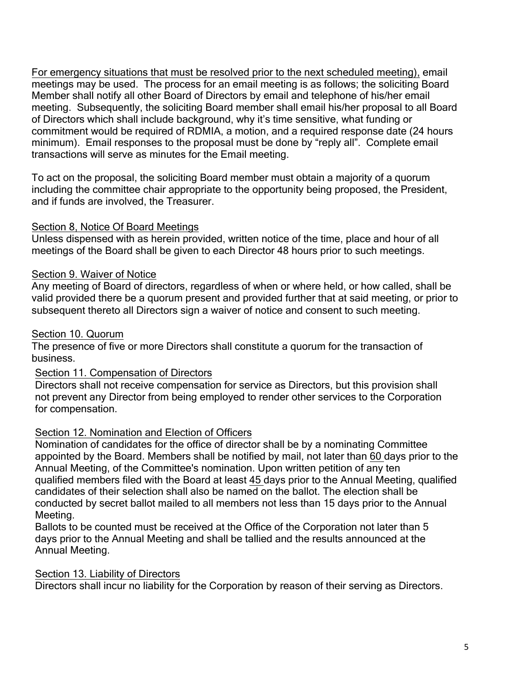For emergency situations that must be resolved prior to the next scheduled meeting), email meetings may be used. The process for an email meeting is as follows; the soliciting Board Member shall notify all other Board of Directors by email and telephone of his/her email meeting. Subsequently, the soliciting Board member shall email his/her proposal to all Board of Directors which shall include background, why it's time sensitive, what funding or commitment would be required of RDMIA, a motion, and a required response date (24 hours minimum). Email responses to the proposal must be done by "reply all". Complete email transactions will serve as minutes for the Email meeting.

To act on the proposal, the soliciting Board member must obtain a majority of a quorum including the committee chair appropriate to the opportunity being proposed, the President, and if funds are involved, the Treasurer.

# Section 8, Notice Of Board Meetings

Unless dispensed with as herein provided, written notice of the time, place and hour of all meetings of the Board shall be given to each Director 48 hours prior to such meetings.

# Section 9. Waiver of Notice

Any meeting of Board of directors, regardless of when or where held, or how called, shall be valid provided there be a quorum present and provided further that at said meeting, or prior to subsequent thereto all Directors sign a waiver of notice and consent to such meeting.

# Section 10. Quorum

The presence of five or more Directors shall constitute a quorum for the transaction of business.

# Section 11. Compensation of Directors

Directors shall not receive compensation for service as Directors, but this provision shall not prevent any Director from being employed to render other services to the Corporation for compensation.

# Section 12. Nomination and Election of Officers

Nomination of candidates for the office of director shall be by a nominating Committee appointed by the Board. Members shall be notified by mail, not later than 60 days prior to the Annual Meeting, of the Committee's nomination. Upon written petition of any ten qualified members filed with the Board at least 45 days prior to the Annual Meeting, qualified candidates of their selection shall also be named on the ballot. The election shall be conducted by secret ballot mailed to all members not less than 15 days prior to the Annual Meeting.

Ballots to be counted must be received at the Office of the Corporation not later than 5 days prior to the Annual Meeting and shall be tallied and the results announced at the Annual Meeting.

# Section 13. Liability of Directors

Directors shall incur no liability for the Corporation by reason of their serving as Directors.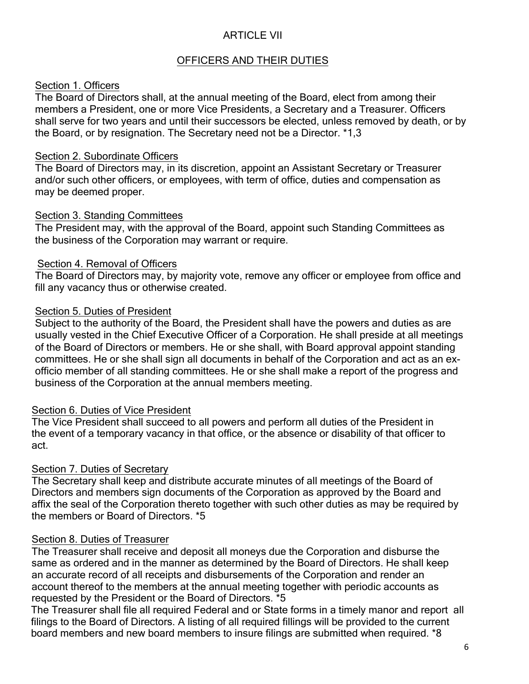# ARTICLE VII

# OFFICERS AND THEIR DUTIES

### Section 1. Officers

The Board of Directors shall, at the annual meeting of the Board, elect from among their members a President, one or more Vice Presidents, a Secretary and a Treasurer. Officers shall serve for two years and until their successors be elected, unless removed by death, or by the Board, or by resignation. The Secretary need not be a Director. \*1,3

#### Section 2. Subordinate Officers

The Board of Directors may, in its discretion, appoint an Assistant Secretary or Treasurer and/or such other officers, or employees, with term of office, duties and compensation as may be deemed proper.

### Section 3. Standing Committees

The President may, with the approval of the Board, appoint such Standing Committees as the business of the Corporation may warrant or require.

# Section 4. Removal of Officers

The Board of Directors may, by majority vote, remove any officer or employee from office and fill any vacancy thus or otherwise created.

### Section 5. Duties of President

Subject to the authority of the Board, the President shall have the powers and duties as are usually vested in the Chief Executive Officer of a Corporation. He shall preside at all meetings of the Board of Directors or members. He or she shall, with Board approval appoint standing committees. He or she shall sign all documents in behalf of the Corporation and act as an exofficio member of all standing committees. He or she shall make a report of the progress and business of the Corporation at the annual members meeting.

# Section 6. Duties of Vice President

The Vice President shall succeed to all powers and perform all duties of the President in the event of a temporary vacancy in that office, or the absence or disability of that officer to act.

# Section 7. Duties of Secretary

The Secretary shall keep and distribute accurate minutes of all meetings of the Board of Directors and members sign documents of the Corporation as approved by the Board and affix the seal of the Corporation thereto together with such other duties as may be required by the members or Board of Directors. \*5

# Section 8. Duties of Treasurer

The Treasurer shall receive and deposit all moneys due the Corporation and disburse the same as ordered and in the manner as determined by the Board of Directors. He shall keep an accurate record of all receipts and disbursements of the Corporation and render an account thereof to the members at the annual meeting together with periodic accounts as requested by the President or the Board of Directors. \*5

The Treasurer shall file all required Federal and or State forms in a timely manor and report all filings to the Board of Directors. A listing of all required fillings will be provided to the current board members and new board members to insure filings are submitted when required. \*8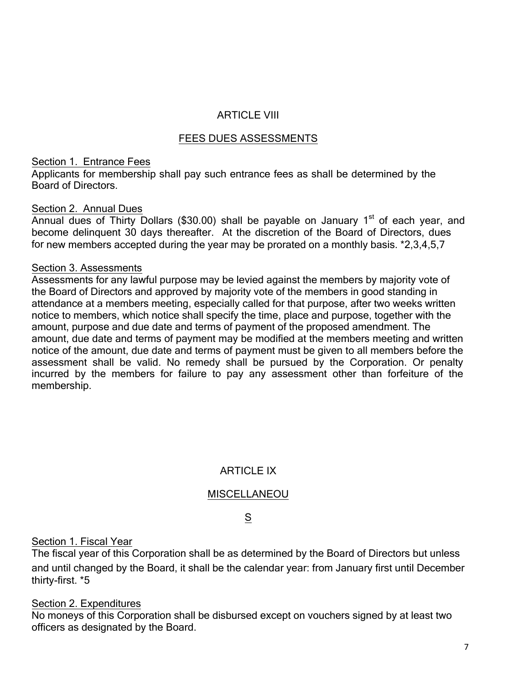# ARTICLE VIII

# FEES DUES ASSESSMENTS

### Section 1. Entrance Fees

Applicants for membership shall pay such entrance fees as shall be determined by the Board of Directors.

### Section 2. Annual Dues

Annual dues of Thirty Dollars (\$30.00) shall be payable on January  $1<sup>st</sup>$  of each year, and become delinquent 30 days thereafter. At the discretion of the Board of Directors, dues for new members accepted during the year may be prorated on a monthly basis. \*2,3,4,5,7

### Section 3. Assessments

Assessments for any lawful purpose may be levied against the members by majority vote of the Board of Directors and approved by majority vote of the members in good standing in attendance at a members meeting, especially called for that purpose, after two weeks written notice to members, which notice shall specify the time, place and purpose, together with the amount, purpose and due date and terms of payment of the proposed amendment. The amount, due date and terms of payment may be modified at the members meeting and written notice of the amount, due date and terms of payment must be given to all members before the assessment shall be valid. No remedy shall be pursued by the Corporation. Or penalty incurred by the members for failure to pay any assessment other than forfeiture of the membership.

# **ARTICLE IX**

# MISCELLANEOU

# S

# Section 1. Fiscal Year

The fiscal year of this Corporation shall be as determined by the Board of Directors but unless and until changed by the Board, it shall be the calendar year: from January first until December thirty-first. \*5

#### Section 2. Expenditures

No moneys of this Corporation shall be disbursed except on vouchers signed by at least two officers as designated by the Board.